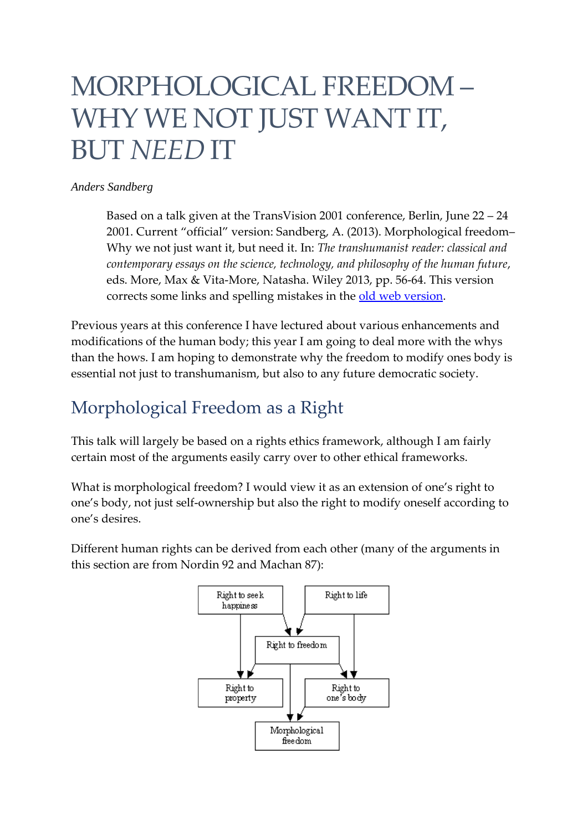# MORPHOLOGICAL FREEDOM – WHY WE NOT JUST WANT IT, BUT *NEED* IT

*Anders Sandberg*

Based on a talk given at the TransVision 2001 conference, Berlin, June 22 – 24 2001. Current "official" version: Sandberg, A. (2013). Morphological freedom– Why we not just want it, but need it. In: *The transhumanist reader: classical and contemporary essays on the science, technology, and philosophy of the human future*, eds. More, Max & Vita-More, Natasha. Wiley 2013, pp. 56-64. This version corrects some links and spelling mistakes in the [old web](http://www.aleph.se/Nada/Texts/MorphologicalFreedom.htm) version.

Previous years at this conference I have lectured about various enhancements and modifications of the human body; this year I am going to deal more with the whys than the hows. I am hoping to demonstrate why the freedom to modify ones body is essential not just to transhumanism, but also to any future democratic society.

# Morphological Freedom as a Right

This talk will largely be based on a rights ethics framework, although I am fairly certain most of the arguments easily carry over to other ethical frameworks.

What is morphological freedom? I would view it as an extension of one's right to one's body, not just self-ownership but also the right to modify oneself according to one's desires.

Different human rights can be derived from each other (many of the arguments in this section are from Nordin 92 and Machan 87):

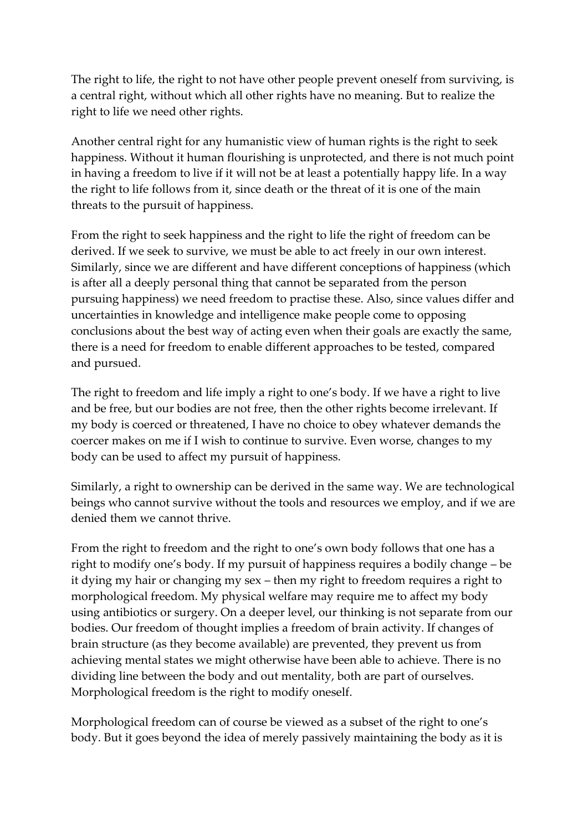The right to life, the right to not have other people prevent oneself from surviving, is a central right, without which all other rights have no meaning. But to realize the right to life we need other rights.

Another central right for any humanistic view of human rights is the right to seek happiness. Without it human flourishing is unprotected, and there is not much point in having a freedom to live if it will not be at least a potentially happy life. In a way the right to life follows from it, since death or the threat of it is one of the main threats to the pursuit of happiness.

From the right to seek happiness and the right to life the right of freedom can be derived. If we seek to survive, we must be able to act freely in our own interest. Similarly, since we are different and have different conceptions of happiness (which is after all a deeply personal thing that cannot be separated from the person pursuing happiness) we need freedom to practise these. Also, since values differ and uncertainties in knowledge and intelligence make people come to opposing conclusions about the best way of acting even when their goals are exactly the same, there is a need for freedom to enable different approaches to be tested, compared and pursued.

The right to freedom and life imply a right to one's body. If we have a right to live and be free, but our bodies are not free, then the other rights become irrelevant. If my body is coerced or threatened, I have no choice to obey whatever demands the coercer makes on me if I wish to continue to survive. Even worse, changes to my body can be used to affect my pursuit of happiness.

Similarly, a right to ownership can be derived in the same way. We are technological beings who cannot survive without the tools and resources we employ, and if we are denied them we cannot thrive.

From the right to freedom and the right to one's own body follows that one has a right to modify one's body. If my pursuit of happiness requires a bodily change – be it dying my hair or changing my sex – then my right to freedom requires a right to morphological freedom. My physical welfare may require me to affect my body using antibiotics or surgery. On a deeper level, our thinking is not separate from our bodies. Our freedom of thought implies a freedom of brain activity. If changes of brain structure (as they become available) are prevented, they prevent us from achieving mental states we might otherwise have been able to achieve. There is no dividing line between the body and out mentality, both are part of ourselves. Morphological freedom is the right to modify oneself.

Morphological freedom can of course be viewed as a subset of the right to one's body. But it goes beyond the idea of merely passively maintaining the body as it is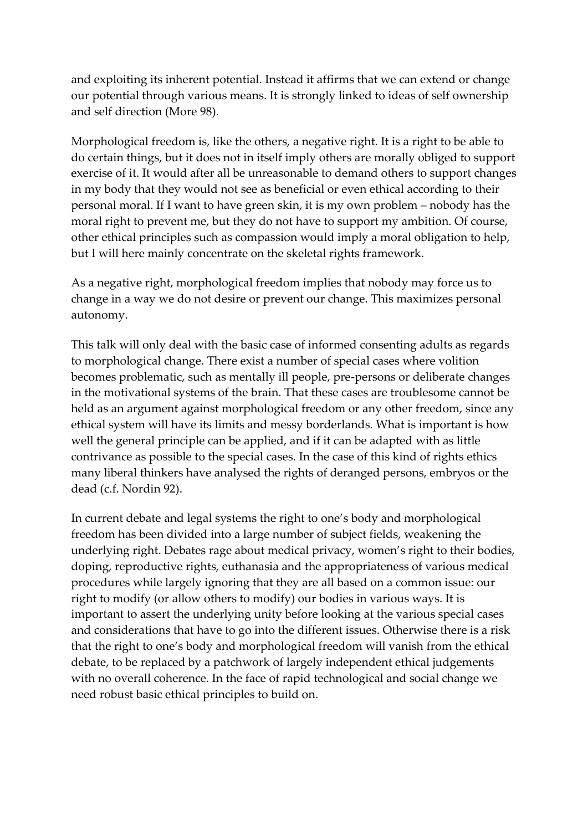and exploiting its inherent potential. Instead it affirms that we can extend or change our potential through various means. It is strongly linked to ideas of self ownership and self direction (More 98).

Morphological freedom is, like the others, a negative right. It is a right to be able to do certain things, but it does not in itself imply others are morally obliged to support exercise of it. It would after all be unreasonable to demand others to support changes in my body that they would not see as beneficial or even ethical according to their personal moral. If I want to have green skin, it is my own problem – nobody has the moral right to prevent me, but they do not have to support my ambition. Of course, other ethical principles such as compassion would imply a moral obligation to help, but I will here mainly concentrate on the skeletal rights framework.

As a negative right, morphological freedom implies that nobody may force us to change in a way we do not desire or prevent our change. This maximizes personal autonomy.

This talk will only deal with the basic case of informed consenting adults as regards to morphological change. There exist a number of special cases where volition becomes problematic, such as mentally ill people, pre-persons or deliberate changes in the motivational systems of the brain. That these cases are troublesome cannot be held as an argument against morphological freedom or any other freedom, since any ethical system will have its limits and messy borderlands. What is important is how well the general principle can be applied, and if it can be adapted with as little contrivance as possible to the special cases. In the case of this kind of rights ethics many liberal thinkers have analysed the rights of deranged persons, embryos or the dead (c.f. Nordin 92).

In current debate and legal systems the right to one's body and morphological freedom has been divided into a large number of subject fields, weakening the underlying right. Debates rage about medical privacy, women's right to their bodies, doping, reproductive rights, euthanasia and the appropriateness of various medical procedures while largely ignoring that they are all based on a common issue: our right to modify (or allow others to modify) our bodies in various ways. It is important to assert the underlying unity before looking at the various special cases and considerations that have to go into the different issues. Otherwise there is a risk that the right to one's body and morphological freedom will vanish from the ethical debate, to be replaced by a patchwork of largely independent ethical judgements with no overall coherence. In the face of rapid technological and social change we need robust basic ethical principles to build on.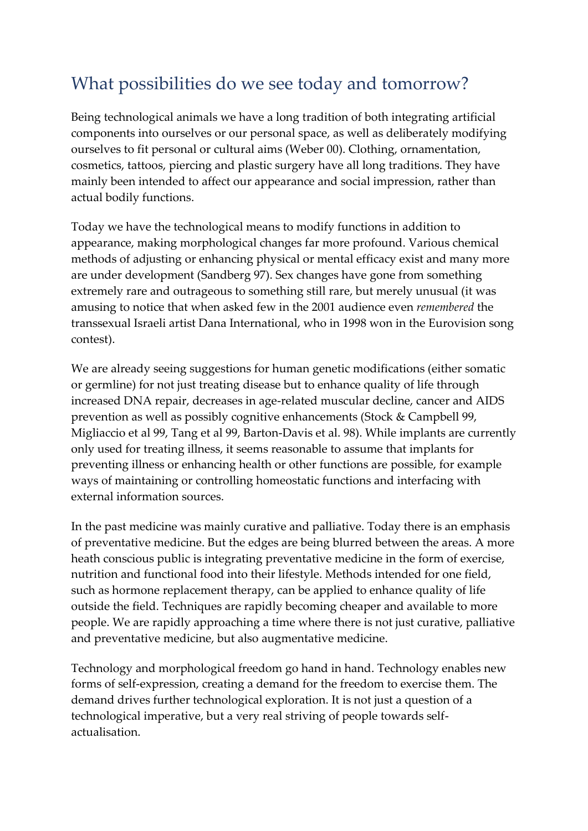# What possibilities do we see today and tomorrow?

Being technological animals we have a long tradition of both integrating artificial components into ourselves or our personal space, as well as deliberately modifying ourselves to fit personal or cultural aims (Weber 00). Clothing, ornamentation, cosmetics, tattoos, piercing and plastic surgery have all long traditions. They have mainly been intended to affect our appearance and social impression, rather than actual bodily functions.

Today we have the technological means to modify functions in addition to appearance, making morphological changes far more profound. Various chemical methods of adjusting or enhancing physical or mental efficacy exist and many more are under development (Sandberg 97). Sex changes have gone from something extremely rare and outrageous to something still rare, but merely unusual (it was amusing to notice that when asked few in the 2001 audience even *remembered* the transsexual Israeli artist Dana International, who in 1998 won in the Eurovision song contest).

We are already seeing suggestions for human genetic modifications (either somatic or germline) for not just treating disease but to enhance quality of life through increased DNA repair, decreases in age-related muscular decline, cancer and AIDS prevention as well as possibly cognitive enhancements (Stock & Campbell 99, Migliaccio et al 99, Tang et al 99, Barton-Davis et al. 98). While implants are currently only used for treating illness, it seems reasonable to assume that implants for preventing illness or enhancing health or other functions are possible, for example ways of maintaining or controlling homeostatic functions and interfacing with external information sources.

In the past medicine was mainly curative and palliative. Today there is an emphasis of preventative medicine. But the edges are being blurred between the areas. A more heath conscious public is integrating preventative medicine in the form of exercise, nutrition and functional food into their lifestyle. Methods intended for one field, such as hormone replacement therapy, can be applied to enhance quality of life outside the field. Techniques are rapidly becoming cheaper and available to more people. We are rapidly approaching a time where there is not just curative, palliative and preventative medicine, but also augmentative medicine.

Technology and morphological freedom go hand in hand. Technology enables new forms of self-expression, creating a demand for the freedom to exercise them. The demand drives further technological exploration. It is not just a question of a technological imperative, but a very real striving of people towards selfactualisation.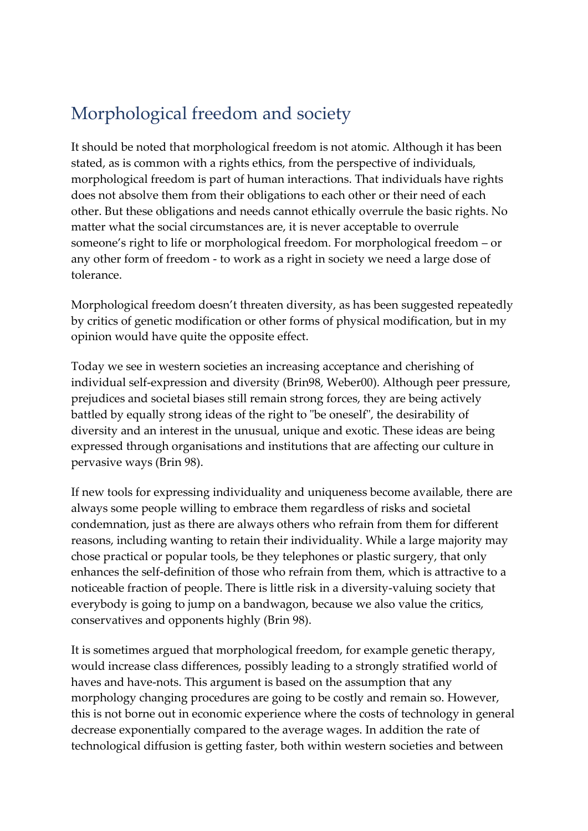# Morphological freedom and society

It should be noted that morphological freedom is not atomic. Although it has been stated, as is common with a rights ethics, from the perspective of individuals, morphological freedom is part of human interactions. That individuals have rights does not absolve them from their obligations to each other or their need of each other. But these obligations and needs cannot ethically overrule the basic rights. No matter what the social circumstances are, it is never acceptable to overrule someone's right to life or morphological freedom. For morphological freedom – or any other form of freedom - to work as a right in society we need a large dose of tolerance.

Morphological freedom doesn't threaten diversity, as has been suggested repeatedly by critics of genetic modification or other forms of physical modification, but in my opinion would have quite the opposite effect.

Today we see in western societies an increasing acceptance and cherishing of individual self-expression and diversity (Brin98, Weber00). Although peer pressure, prejudices and societal biases still remain strong forces, they are being actively battled by equally strong ideas of the right to "be oneself", the desirability of diversity and an interest in the unusual, unique and exotic. These ideas are being expressed through organisations and institutions that are affecting our culture in pervasive ways (Brin 98).

If new tools for expressing individuality and uniqueness become available, there are always some people willing to embrace them regardless of risks and societal condemnation, just as there are always others who refrain from them for different reasons, including wanting to retain their individuality. While a large majority may chose practical or popular tools, be they telephones or plastic surgery, that only enhances the self-definition of those who refrain from them, which is attractive to a noticeable fraction of people. There is little risk in a diversity-valuing society that everybody is going to jump on a bandwagon, because we also value the critics, conservatives and opponents highly (Brin 98).

It is sometimes argued that morphological freedom, for example genetic therapy, would increase class differences, possibly leading to a strongly stratified world of haves and have-nots. This argument is based on the assumption that any morphology changing procedures are going to be costly and remain so. However, this is not borne out in economic experience where the costs of technology in general decrease exponentially compared to the average wages. In addition the rate of technological diffusion is getting faster, both within western societies and between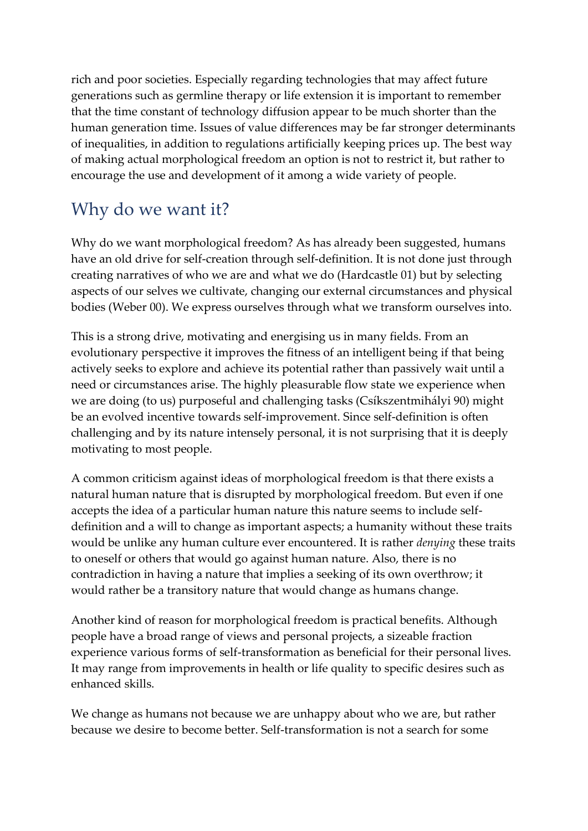rich and poor societies. Especially regarding technologies that may affect future generations such as germline therapy or life extension it is important to remember that the time constant of technology diffusion appear to be much shorter than the human generation time. Issues of value differences may be far stronger determinants of inequalities, in addition to regulations artificially keeping prices up. The best way of making actual morphological freedom an option is not to restrict it, but rather to encourage the use and development of it among a wide variety of people.

# Why do we want it?

Why do we want morphological freedom? As has already been suggested, humans have an old drive for self-creation through self-definition. It is not done just through creating narratives of who we are and what we do (Hardcastle 01) but by selecting aspects of our selves we cultivate, changing our external circumstances and physical bodies (Weber 00). We express ourselves through what we transform ourselves into.

This is a strong drive, motivating and energising us in many fields. From an evolutionary perspective it improves the fitness of an intelligent being if that being actively seeks to explore and achieve its potential rather than passively wait until a need or circumstances arise. The highly pleasurable flow state we experience when we are doing (to us) purposeful and challenging tasks (Csíkszentmihályi 90) might be an evolved incentive towards self-improvement. Since self-definition is often challenging and by its nature intensely personal, it is not surprising that it is deeply motivating to most people.

A common criticism against ideas of morphological freedom is that there exists a natural human nature that is disrupted by morphological freedom. But even if one accepts the idea of a particular human nature this nature seems to include selfdefinition and a will to change as important aspects; a humanity without these traits would be unlike any human culture ever encountered. It is rather *denying* these traits to oneself or others that would go against human nature. Also, there is no contradiction in having a nature that implies a seeking of its own overthrow; it would rather be a transitory nature that would change as humans change.

Another kind of reason for morphological freedom is practical benefits. Although people have a broad range of views and personal projects, a sizeable fraction experience various forms of self-transformation as beneficial for their personal lives. It may range from improvements in health or life quality to specific desires such as enhanced skills.

We change as humans not because we are unhappy about who we are, but rather because we desire to become better. Self-transformation is not a search for some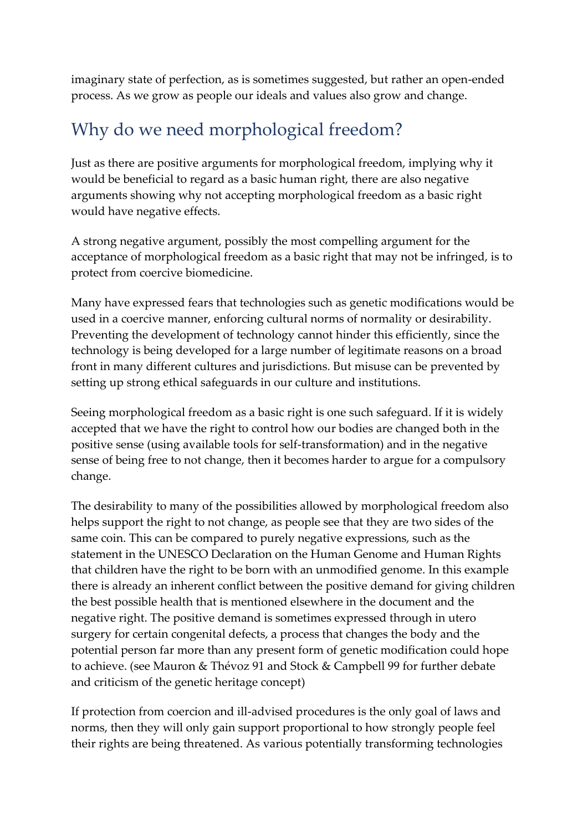imaginary state of perfection, as is sometimes suggested, but rather an open-ended process. As we grow as people our ideals and values also grow and change.

# Why do we need morphological freedom?

Just as there are positive arguments for morphological freedom, implying why it would be beneficial to regard as a basic human right, there are also negative arguments showing why not accepting morphological freedom as a basic right would have negative effects.

A strong negative argument, possibly the most compelling argument for the acceptance of morphological freedom as a basic right that may not be infringed, is to protect from coercive biomedicine.

Many have expressed fears that technologies such as genetic modifications would be used in a coercive manner, enforcing cultural norms of normality or desirability. Preventing the development of technology cannot hinder this efficiently, since the technology is being developed for a large number of legitimate reasons on a broad front in many different cultures and jurisdictions. But misuse can be prevented by setting up strong ethical safeguards in our culture and institutions.

Seeing morphological freedom as a basic right is one such safeguard. If it is widely accepted that we have the right to control how our bodies are changed both in the positive sense (using available tools for self-transformation) and in the negative sense of being free to not change, then it becomes harder to argue for a compulsory change.

The desirability to many of the possibilities allowed by morphological freedom also helps support the right to not change, as people see that they are two sides of the same coin. This can be compared to purely negative expressions, such as the statement in the UNESCO Declaration on the Human Genome and Human Rights that children have the right to be born with an unmodified genome. In this example there is already an inherent conflict between the positive demand for giving children the best possible health that is mentioned elsewhere in the document and the negative right. The positive demand is sometimes expressed through in utero surgery for certain congenital defects, a process that changes the body and the potential person far more than any present form of genetic modification could hope to achieve. (see Mauron & Thévoz 91 and Stock & Campbell 99 for further debate and criticism of the genetic heritage concept)

If protection from coercion and ill-advised procedures is the only goal of laws and norms, then they will only gain support proportional to how strongly people feel their rights are being threatened. As various potentially transforming technologies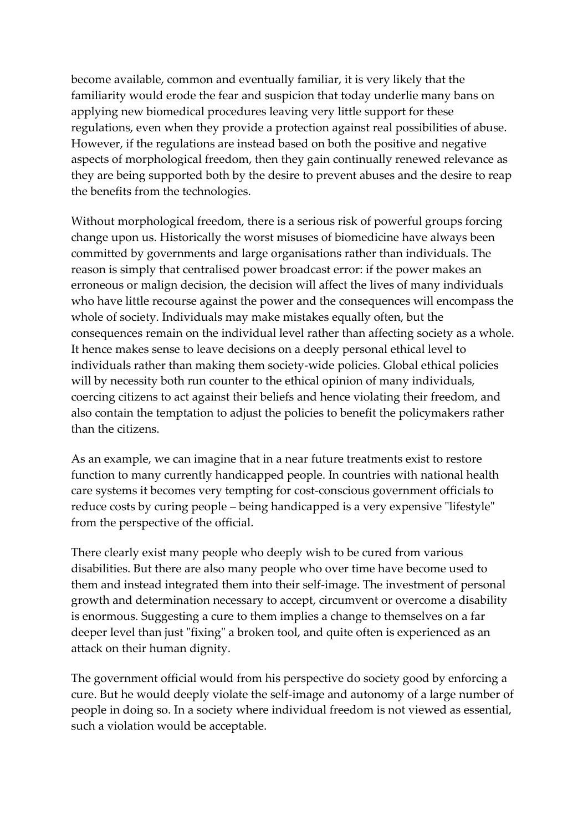become available, common and eventually familiar, it is very likely that the familiarity would erode the fear and suspicion that today underlie many bans on applying new biomedical procedures leaving very little support for these regulations, even when they provide a protection against real possibilities of abuse. However, if the regulations are instead based on both the positive and negative aspects of morphological freedom, then they gain continually renewed relevance as they are being supported both by the desire to prevent abuses and the desire to reap the benefits from the technologies.

Without morphological freedom, there is a serious risk of powerful groups forcing change upon us. Historically the worst misuses of biomedicine have always been committed by governments and large organisations rather than individuals. The reason is simply that centralised power broadcast error: if the power makes an erroneous or malign decision, the decision will affect the lives of many individuals who have little recourse against the power and the consequences will encompass the whole of society. Individuals may make mistakes equally often, but the consequences remain on the individual level rather than affecting society as a whole. It hence makes sense to leave decisions on a deeply personal ethical level to individuals rather than making them society-wide policies. Global ethical policies will by necessity both run counter to the ethical opinion of many individuals, coercing citizens to act against their beliefs and hence violating their freedom, and also contain the temptation to adjust the policies to benefit the policymakers rather than the citizens.

As an example, we can imagine that in a near future treatments exist to restore function to many currently handicapped people. In countries with national health care systems it becomes very tempting for cost-conscious government officials to reduce costs by curing people – being handicapped is a very expensive "lifestyle" from the perspective of the official.

There clearly exist many people who deeply wish to be cured from various disabilities. But there are also many people who over time have become used to them and instead integrated them into their self-image. The investment of personal growth and determination necessary to accept, circumvent or overcome a disability is enormous. Suggesting a cure to them implies a change to themselves on a far deeper level than just "fixing" a broken tool, and quite often is experienced as an attack on their human dignity.

The government official would from his perspective do society good by enforcing a cure. But he would deeply violate the self-image and autonomy of a large number of people in doing so. In a society where individual freedom is not viewed as essential, such a violation would be acceptable.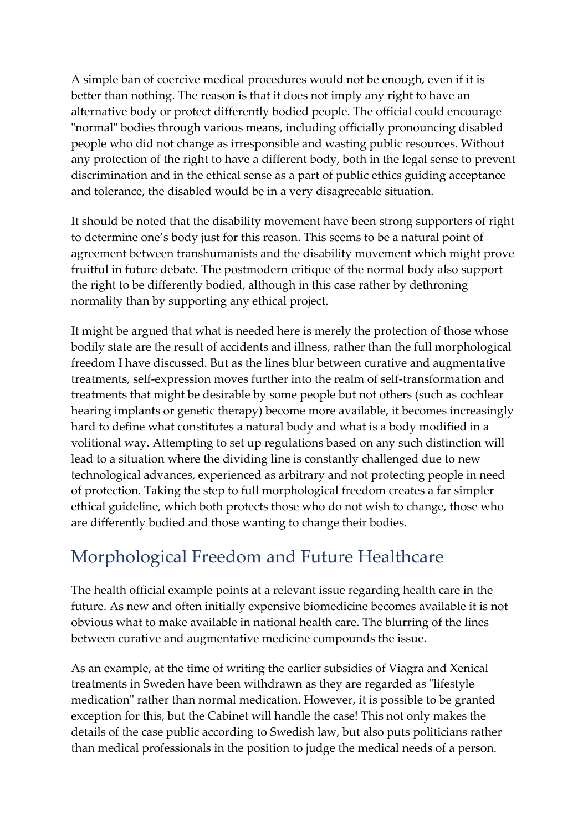A simple ban of coercive medical procedures would not be enough, even if it is better than nothing. The reason is that it does not imply any right to have an alternative body or protect differently bodied people. The official could encourage "normal" bodies through various means, including officially pronouncing disabled people who did not change as irresponsible and wasting public resources. Without any protection of the right to have a different body, both in the legal sense to prevent discrimination and in the ethical sense as a part of public ethics guiding acceptance and tolerance, the disabled would be in a very disagreeable situation.

It should be noted that the disability movement have been strong supporters of right to determine one's body just for this reason. This seems to be a natural point of agreement between transhumanists and the disability movement which might prove fruitful in future debate. The postmodern critique of the normal body also support the right to be differently bodied, although in this case rather by dethroning normality than by supporting any ethical project.

It might be argued that what is needed here is merely the protection of those whose bodily state are the result of accidents and illness, rather than the full morphological freedom I have discussed. But as the lines blur between curative and augmentative treatments, self-expression moves further into the realm of self-transformation and treatments that might be desirable by some people but not others (such as cochlear hearing implants or genetic therapy) become more available, it becomes increasingly hard to define what constitutes a natural body and what is a body modified in a volitional way. Attempting to set up regulations based on any such distinction will lead to a situation where the dividing line is constantly challenged due to new technological advances, experienced as arbitrary and not protecting people in need of protection. Taking the step to full morphological freedom creates a far simpler ethical guideline, which both protects those who do not wish to change, those who are differently bodied and those wanting to change their bodies.

#### Morphological Freedom and Future Healthcare

The health official example points at a relevant issue regarding health care in the future. As new and often initially expensive biomedicine becomes available it is not obvious what to make available in national health care. The blurring of the lines between curative and augmentative medicine compounds the issue.

As an example, at the time of writing the earlier subsidies of Viagra and Xenical treatments in Sweden have been withdrawn as they are regarded as "lifestyle medication" rather than normal medication. However, it is possible to be granted exception for this, but the Cabinet will handle the case! This not only makes the details of the case public according to Swedish law, but also puts politicians rather than medical professionals in the position to judge the medical needs of a person.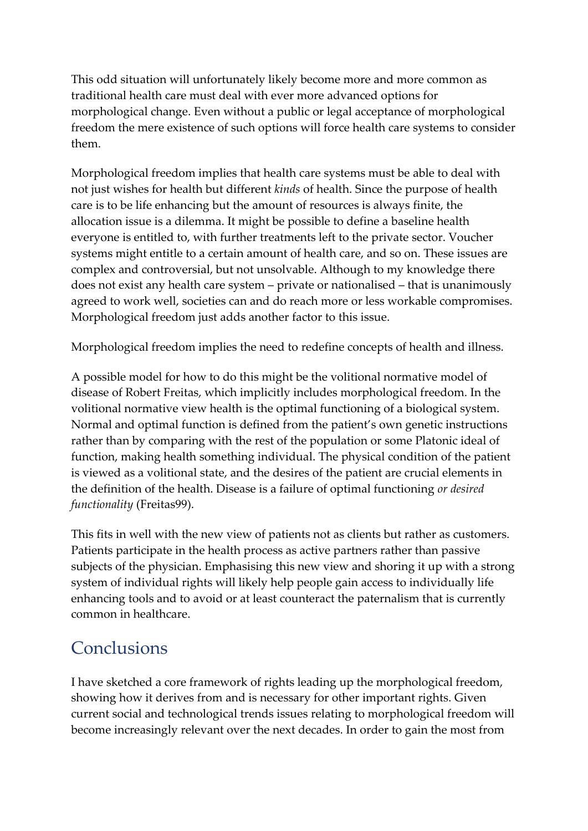This odd situation will unfortunately likely become more and more common as traditional health care must deal with ever more advanced options for morphological change. Even without a public or legal acceptance of morphological freedom the mere existence of such options will force health care systems to consider them.

Morphological freedom implies that health care systems must be able to deal with not just wishes for health but different *kinds* of health. Since the purpose of health care is to be life enhancing but the amount of resources is always finite, the allocation issue is a dilemma. It might be possible to define a baseline health everyone is entitled to, with further treatments left to the private sector. Voucher systems might entitle to a certain amount of health care, and so on. These issues are complex and controversial, but not unsolvable. Although to my knowledge there does not exist any health care system – private or nationalised – that is unanimously agreed to work well, societies can and do reach more or less workable compromises. Morphological freedom just adds another factor to this issue.

Morphological freedom implies the need to redefine concepts of health and illness.

A possible model for how to do this might be the volitional normative model of disease of Robert Freitas, which implicitly includes morphological freedom. In the volitional normative view health is the optimal functioning of a biological system. Normal and optimal function is defined from the patient's own genetic instructions rather than by comparing with the rest of the population or some Platonic ideal of function, making health something individual. The physical condition of the patient is viewed as a volitional state, and the desires of the patient are crucial elements in the definition of the health. Disease is a failure of optimal functioning *or desired functionality* (Freitas99).

This fits in well with the new view of patients not as clients but rather as customers. Patients participate in the health process as active partners rather than passive subjects of the physician. Emphasising this new view and shoring it up with a strong system of individual rights will likely help people gain access to individually life enhancing tools and to avoid or at least counteract the paternalism that is currently common in healthcare.

# Conclusions

I have sketched a core framework of rights leading up the morphological freedom, showing how it derives from and is necessary for other important rights. Given current social and technological trends issues relating to morphological freedom will become increasingly relevant over the next decades. In order to gain the most from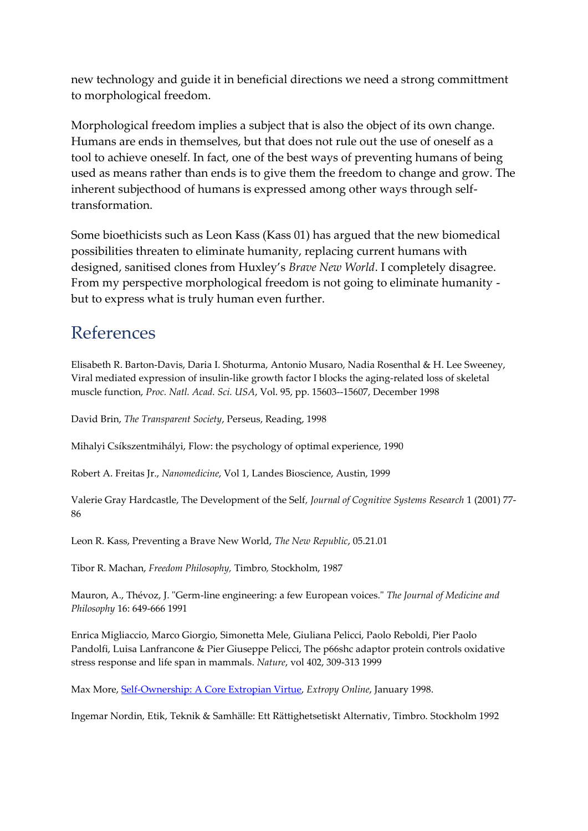new technology and guide it in beneficial directions we need a strong committment to morphological freedom.

Morphological freedom implies a subject that is also the object of its own change. Humans are ends in themselves, but that does not rule out the use of oneself as a tool to achieve oneself. In fact, one of the best ways of preventing humans of being used as means rather than ends is to give them the freedom to change and grow. The inherent subjecthood of humans is expressed among other ways through selftransformation.

Some bioethicists such as Leon Kass (Kass 01) has argued that the new biomedical possibilities threaten to eliminate humanity, replacing current humans with designed, sanitised clones from Huxley's *Brave New World*. I completely disagree. From my perspective morphological freedom is not going to eliminate humanity but to express what is truly human even further.

#### References

Elisabeth R. Barton-Davis, Daria I. Shoturma, Antonio Musaro, Nadia Rosenthal & H. Lee Sweeney, Viral mediated expression of insulin-like growth factor I blocks the aging-related loss of skeletal muscle function, *Proc. Natl. Acad. Sci. USA*, Vol. 95, pp. 15603--15607, December 1998

David Brin, *The Transparent Society*, Perseus, Reading, 1998

Mihalyi Csíkszentmihályi, Flow: the psychology of optimal experience, 1990

Robert A. Freitas Jr., *Nanomedicine*, Vol 1, Landes Bioscience, Austin, 1999

Valerie Gray Hardcastle, The Development of the Self*, Journal of Cognitive Systems Research* 1 (2001) 77- 86

Leon R. Kass, Preventing a Brave New World, *The New Republic*, 05.21.01

Tibor R. Machan, *Freedom Philosophy,* Timbro*,* Stockholm, 1987

Mauron, A., Thévoz, J. "Germ-line engineering: a few European voices." *The Journal of Medicine and Philosophy* 16: 649-666 1991

Enrica Migliaccio, Marco Giorgio, Simonetta Mele, Giuliana Pelicci, Paolo Reboldi, Pier Paolo Pandolfi, Luisa Lanfrancone & Pier Giuseppe Pelicci, The p66shc adaptor protein controls oxidative stress response and life span in mammals. *Nature*, vol 402, 309-313 1999

Max More, [Self-Ownership: A Core Extropian Virtue,](https://web.archive.org/web/20140330153129/http:/www.maxmore.com/selfown.htm) *Extropy Online*, January 1998.

Ingemar Nordin, Etik, Teknik & Samhälle: Ett Rättighetsetiskt Alternativ, Timbro. Stockholm 1992